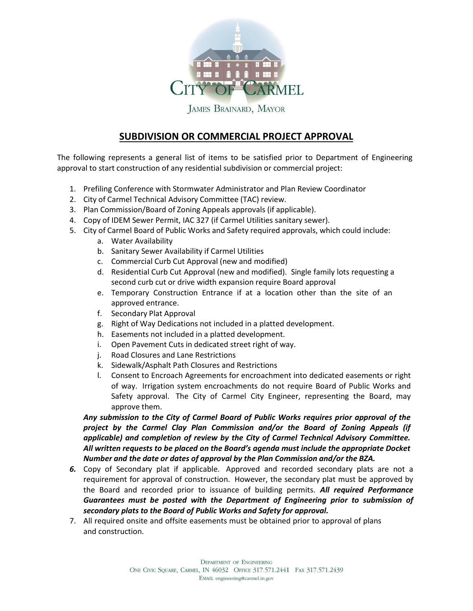

**JAMES BRAINARD, MAYOR** 

## **SUBDIVISION OR COMMERCIAL PROJECT APPROVAL**

The following represents a general list of items to be satisfied prior to Department of Engineering approval to start construction of any residential subdivision or commercial project:

- 1. Prefiling Conference with Stormwater Administrator and Plan Review Coordinator
- 2. City of Carmel Technical Advisory Committee (TAC) review.
- 3. Plan Commission/Board of Zoning Appeals approvals (if applicable).
- 4. Copy of IDEM Sewer Permit, IAC 327 (if Carmel Utilities sanitary sewer).
- 5. City of Carmel Board of Public Works and Safety required approvals, which could include:
	- a. Water Availability
	- b. Sanitary Sewer Availability if Carmel Utilities
	- c. Commercial Curb Cut Approval (new and modified)
	- d. Residential Curb Cut Approval (new and modified). Single family lots requesting a second curb cut or drive width expansion require Board approval
	- e. Temporary Construction Entrance if at a location other than the site of an approved entrance.
	- f. Secondary Plat Approval
	- g. Right of Way Dedications not included in a platted development.
	- h. Easements not included in a platted development.
	- i. Open Pavement Cuts in dedicated street right of way.
	- j. Road Closures and Lane Restrictions
	- k. Sidewalk/Asphalt Path Closures and Restrictions
	- l. Consent to Encroach Agreements for encroachment into dedicated easements or right of way. Irrigation system encroachments do not require Board of Public Works and Safety approval. The City of Carmel City Engineer, representing the Board, may approve them.

*Any submission to the City of Carmel Board of Public Works requires prior approval of the project by the Carmel Clay Plan Commission and/or the Board of Zoning Appeals (if applicable) and completion of review by the City of Carmel Technical Advisory Committee. All written requests to be placed on the Board's agenda must include the appropriate Docket Number and the date or dates of approval by the Plan Commission and/or the BZA.*

- *6.* Copy of Secondary plat if applicable. Approved and recorded secondary plats are not a requirement for approval of construction. However, the secondary plat must be approved by the Board and recorded prior to issuance of building permits. *All required Performance Guarantees must be posted with the Department of Engineering prior to submission of secondary plats to the Board of Public Works and Safety for approval.*
- 7. All required onsite and offsite easements must be obtained prior to approval of plans and construction.